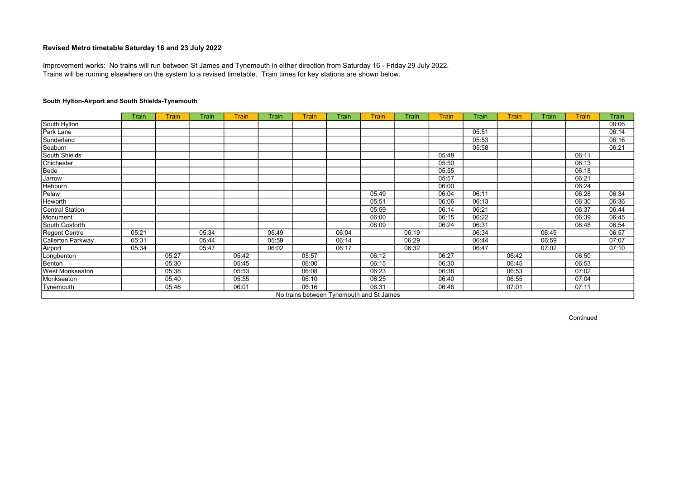Trains will be running elsewhere on the system to a revised timetable. Train times for key stations are shown below. Improvement works: No trains will run between St James and Tynemouth in either direction from Saturday 16 - Friday 29 July 2022.

## South Hylton-Airport and South Shields-Tynemouth

|                        | Train | <b>Train</b> | <b>Train</b> | <b>Train</b> | Train | <b>Train</b> | Train                                    | <b>Train</b> | <b>Train</b> | <b>Train</b> | Train | <b>Train</b> | Train | <b>Train</b> | Train |
|------------------------|-------|--------------|--------------|--------------|-------|--------------|------------------------------------------|--------------|--------------|--------------|-------|--------------|-------|--------------|-------|
| South Hylton           |       |              |              |              |       |              |                                          |              |              |              |       |              |       |              | 06:06 |
| Park Lane              |       |              |              |              |       |              |                                          |              |              |              | 05:51 |              |       |              | 06:14 |
| Sunderland             |       |              |              |              |       |              |                                          |              |              |              | 05:53 |              |       |              | 06:16 |
| Seaburn                |       |              |              |              |       |              |                                          |              |              |              | 05:58 |              |       |              | 06:21 |
| South Shields          |       |              |              |              |       |              |                                          |              |              | 05:48        |       |              |       | 06:11        |       |
| Chichester             |       |              |              |              |       |              |                                          |              |              | 05:50        |       |              |       | 06:13        |       |
| Bede                   |       |              |              |              |       |              |                                          |              |              | 05:55        |       |              |       | 06:18        |       |
| Jarrow                 |       |              |              |              |       |              |                                          |              |              | 05:57        |       |              |       | 06:21        |       |
| Hebburn                |       |              |              |              |       |              |                                          |              |              | 06:00        |       |              |       | 06:24        |       |
| Pelaw                  |       |              |              |              |       |              |                                          | 05:49        |              | 06:04        | 06:11 |              |       | 06:28        | 06:34 |
| Heworth                |       |              |              |              |       |              |                                          | 05:51        |              | 06:06        | 06:13 |              |       | 06:30        | 06:36 |
| <b>Central Station</b> |       |              |              |              |       |              |                                          | 05:59        |              | 06:14        | 06:21 |              |       | 06:37        | 06:44 |
| Monument               |       |              |              |              |       |              |                                          | 06:00        |              | 06:15        | 06:22 |              |       | 06:39        | 06:45 |
| South Gosforth         |       |              |              |              |       |              |                                          | 06:09        |              | 06:24        | 06:31 |              |       | 06:48        | 06:54 |
| Regent Centre          | 05:21 |              | 05:34        |              | 05:49 |              | 06:04                                    |              | 06:19        |              | 06:34 |              | 06:49 |              | 06:57 |
| Callerton Parkway      | 05:31 |              | 05:44        |              | 05:59 |              | 06:14                                    |              | 06:29        |              | 06:44 |              | 06:59 |              | 07:07 |
| Airport                | 05:34 |              | 05:47        |              | 06:02 |              | 06:17                                    |              | 06:32        |              | 06:47 |              | 07:02 |              | 07:10 |
| Longbenton             |       | 05:27        |              | 05:42        |       | 05:57        |                                          | 06:12        |              | 06:27        |       | 06:42        |       | 06:50        |       |
| Benton                 |       | 05:30        |              | 05:45        |       | 06:00        |                                          | 06:15        |              | 06:30        |       | 06:45        |       | 06:53        |       |
| West Monkseaton        |       | 05:38        |              | 05:53        |       | 06:08        |                                          | 06:23        |              | 06:38        |       | 06:53        |       | 07:02        |       |
| Monkseaton             |       | 05:40        |              | 05:55        |       | 06:10        |                                          | 06:25        |              | 06:40        |       | 06:55        |       | 07:04        |       |
| Tynemouth              |       | 05:46        |              | 06:01        |       | 06:16        |                                          | 06:31        |              | 06:46        |       | 07:01        |       | 07:11        |       |
|                        |       |              |              |              |       |              | No trains between Tynemouth and St James |              |              |              |       |              |       |              |       |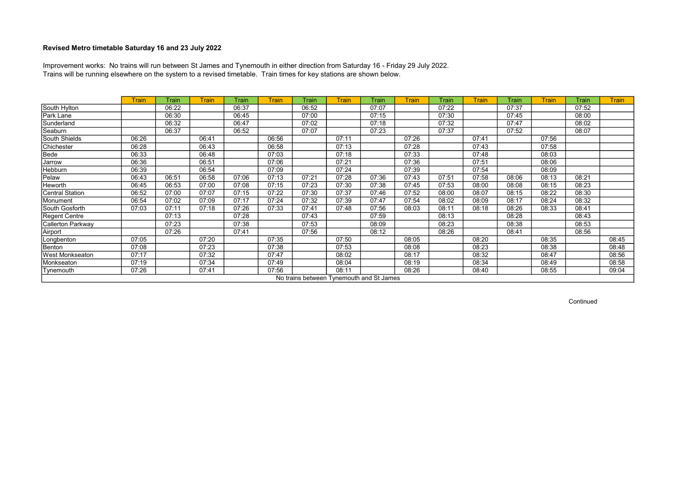Trains will be running elsewhere on the system to a revised timetable. Train times for key stations are shown below. Improvement works: No trains will run between St James and Tynemouth in either direction from Saturday 16 - Friday 29 July 2022.

|                      | <b>Train</b> | Train | <b>Train</b> | Train | <b>Train</b> | Train | <b>Train</b> | Train                                    | <b>Train</b> | Train | <b>Train</b> | Train | <b>Train</b> | Train | <b>Train</b> |
|----------------------|--------------|-------|--------------|-------|--------------|-------|--------------|------------------------------------------|--------------|-------|--------------|-------|--------------|-------|--------------|
| South Hylton         |              | 06:22 |              | 06:37 |              | 06:52 |              | 07:07                                    |              | 07:22 |              | 07:37 |              | 07:52 |              |
| Park Lane            |              | 06:30 |              | 06:45 |              | 07:00 |              | 07:15                                    |              | 07:30 |              | 07:45 |              | 08:00 |              |
| Sunderland           |              | 06:32 |              | 06:47 |              | 07:02 |              | 07:18                                    |              | 07:32 |              | 07:47 |              | 08:02 |              |
| Seaburn              |              | 06:37 |              | 06:52 |              | 07:07 |              | 07:23                                    |              | 07:37 |              | 07:52 |              | 08:07 |              |
| South Shields        | 06:26        |       | 06:41        |       | 06:56        |       | 07:11        |                                          | 07:26        |       | 07:41        |       | 07:56        |       |              |
| Chichester           | 06:28        |       | 06:43        |       | 06:58        |       | 07:13        |                                          | 07:28        |       | 07:43        |       | 07:58        |       |              |
| Bede                 | 06:33        |       | 06:48        |       | 07:03        |       | 07:18        |                                          | 07:33        |       | 07:48        |       | 08:03        |       |              |
| Jarrow               | 06:36        |       | 06:51        |       | 07:06        |       | 07:21        |                                          | 07:36        |       | 07:51        |       | 08:06        |       |              |
| <b>Hebburn</b>       | 06:39        |       | 06:54        |       | 07:09        |       | 07:24        |                                          | 07:39        |       | 07:54        |       | 08:09        |       |              |
| Pelaw                | 06:43        | 06:51 | 06:58        | 07:06 | 07:13        | 07:21 | 07:28        | 07:36                                    | 07:43        | 07:51 | 07:58        | 08:06 | 08:13        | 08:21 |              |
| Heworth              | 06:45        | 06:53 | 07:00        | 07:08 | 07:15        | 07:23 | 07:30        | 07:38                                    | 07:45        | 07:53 | 08:00        | 08:08 | 08:15        | 08:23 |              |
| Central Station      | 06:52        | 07:00 | 07:07        | 07:15 | 07:22        | 07:30 | 07:37        | 07:46                                    | 07:52        | 08:00 | 08:07        | 08:15 | 08:22        | 08:30 |              |
| Monument             | 06:54        | 07:02 | 07:09        | 07:17 | 07:24        | 07:32 | 07:39        | 07:47                                    | 07:54        | 08:02 | 08:09        | 08:17 | 08:24        | 08:32 |              |
| South Gosforth       | 07:03        | 07:11 | 07:18        | 07:26 | 07:33        | 07:41 | 07:48        | 07:56                                    | 08:03        | 08:11 | 08:18        | 08:26 | 08:33        | 08:41 |              |
| <b>Regent Centre</b> |              | 07:13 |              | 07:28 |              | 07:43 |              | 07:59                                    |              | 08:13 |              | 08:28 |              | 08:43 |              |
| Callerton Parkway    |              | 07:23 |              | 07:38 |              | 07:53 |              | 08:09                                    |              | 08:23 |              | 08:38 |              | 08:53 |              |
| Airport              |              | 07:26 |              | 07:41 |              | 07:56 |              | 08:12                                    |              | 08:26 |              | 08:41 |              | 08:56 |              |
| Longbenton           | 07:05        |       | 07:20        |       | 07:35        |       | 07:50        |                                          | 08:05        |       | 08:20        |       | 08:35        |       | 08:45        |
| Benton               | 07:08        |       | 07:23        |       | 07:38        |       | 07:53        |                                          | 08:08        |       | 08:23        |       | 08:38        |       | 08:48        |
| West Monkseaton      | 07:17        |       | 07:32        |       | 07:47        |       | 08:02        |                                          | 08:17        |       | 08:32        |       | 08:47        |       | 08:56        |
| Monkseaton           | 07:19        |       | 07:34        |       | 07:49        |       | 08:04        |                                          | 08:19        |       | 08:34        |       | 08:49        |       | 08:58        |
| Tynemouth            | 07:26        |       | 07:41        |       | 07:56        |       | 08:11        |                                          | 08:26        |       | 08:40        |       | 08:55        |       | 09:04        |
|                      |              |       |              |       |              |       |              | No trains between Tynemouth and St James |              |       |              |       |              |       |              |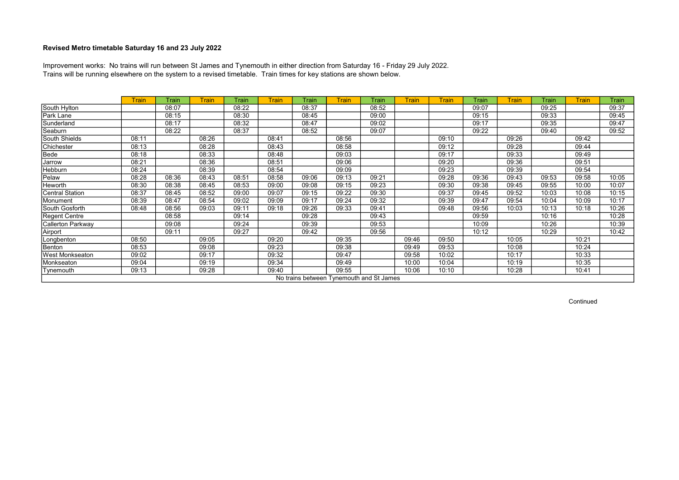Trains will be running elsewhere on the system to a revised timetable. Train times for key stations are shown below. Improvement works: No trains will run between St James and Tynemouth in either direction from Saturday 16 - Friday 29 July 2022.

|                        | <b>Train</b> | Train | <b>Train</b> | Train | <b>Train</b> | Train | <b>Train</b> | Train                                    | <b>Train</b> | <b>Train</b> | Train | <b>Train</b> | Train | Train | Train |
|------------------------|--------------|-------|--------------|-------|--------------|-------|--------------|------------------------------------------|--------------|--------------|-------|--------------|-------|-------|-------|
| South Hylton           |              | 08:07 |              | 08:22 |              | 08:37 |              | 08:52                                    |              |              | 09:07 |              | 09:25 |       | 09:37 |
| Park Lane              |              | 08:15 |              | 08:30 |              | 08:45 |              | 09:00                                    |              |              | 09:15 |              | 09:33 |       | 09:45 |
| Sunderland             |              | 08:17 |              | 08:32 |              | 08:47 |              | 09:02                                    |              |              | 09:17 |              | 09:35 |       | 09:47 |
| Seaburn                |              | 08:22 |              | 08:37 |              | 08:52 |              | 09:07                                    |              |              | 09:22 |              | 09:40 |       | 09:52 |
| South Shields          | 08:11        |       | 08:26        |       | 08:41        |       | 08:56        |                                          |              | 09:10        |       | 09:26        |       | 09:42 |       |
| Chichester             | 08:13        |       | 08:28        |       | 08:43        |       | 08:58        |                                          |              | 09:12        |       | 09:28        |       | 09:44 |       |
| Bede                   | 08:18        |       | 08:33        |       | 08:48        |       | 09:03        |                                          |              | 09:17        |       | 09:33        |       | 09:49 |       |
| Jarrow                 | 08:21        |       | 08:36        |       | 08:51        |       | 09:06        |                                          |              | 09:20        |       | 09:36        |       | 09:51 |       |
| Hebburn                | 08:24        |       | 08:39        |       | 08:54        |       | 09:09        |                                          |              | 09:23        |       | 09:39        |       | 09:54 |       |
| Pelaw                  | 08:28        | 08:36 | 08:43        | 08:51 | 08:58        | 09:06 | 09:13        | 09:21                                    |              | 09:28        | 09:36 | 09:43        | 09:53 | 09:58 | 10:05 |
| Heworth                | 08:30        | 08:38 | 08:45        | 08:53 | 09:00        | 09:08 | 09:15        | 09:23                                    |              | 09:30        | 09:38 | 09:45        | 09:55 | 10:00 | 10:07 |
| Central Station        | 08:37        | 08:45 | 08:52        | 09:00 | 09:07        | 09:15 | 09:22        | 09:30                                    |              | 09:37        | 09:45 | 09:52        | 10:03 | 10:08 | 10:15 |
| Monument               | 08:39        | 08:47 | 08:54        | 09:02 | 09:09        | 09:17 | 09:24        | 09:32                                    |              | 09:39        | 09:47 | 09:54        | 10:04 | 10:09 | 10:17 |
| South Gosforth         | 08:48        | 08:56 | 09:03        | 09:11 | 09:18        | 09:26 | 09:33        | 09:41                                    |              | 09:48        | 09:56 | 10:03        | 10:13 | 10:18 | 10:26 |
| Regent Centre          |              | 08:58 |              | 09:14 |              | 09:28 |              | 09:43                                    |              |              | 09:59 |              | 10:16 |       | 10:28 |
| Callerton Parkway      |              | 09:08 |              | 09:24 |              | 09:39 |              | 09:53                                    |              |              | 10:09 |              | 10:26 |       | 10:39 |
| Airport                |              | 09:11 |              | 09:27 |              | 09:42 |              | 09:56                                    |              |              | 10:12 |              | 10:29 |       | 10:42 |
| Longbenton             | 08:50        |       | 09:05        |       | 09:20        |       | 09:35        |                                          | 09:46        | 09:50        |       | 10:05        |       | 10:21 |       |
| Benton                 | 08:53        |       | 09:08        |       | 09:23        |       | 09:38        |                                          | 09:49        | 09:53        |       | 10:08        |       | 10:24 |       |
| <b>West Monkseaton</b> | 09:02        |       | 09:17        |       | 09:32        |       | 09:47        |                                          | 09:58        | 10:02        |       | 10:17        |       | 10:33 |       |
| Monkseaton             | 09:04        |       | 09:19        |       | 09:34        |       | 09:49        |                                          | 10:00        | 10:04        |       | 10:19        |       | 10:35 |       |
| Tynemouth              | 09:13        |       | 09:28        |       | 09:40        |       | 09:55        |                                          | 10:06        | 10:10        |       | 10:28        |       | 10:41 |       |
|                        |              |       |              |       |              |       |              | No trains between Tynemouth and St James |              |              |       |              |       |       |       |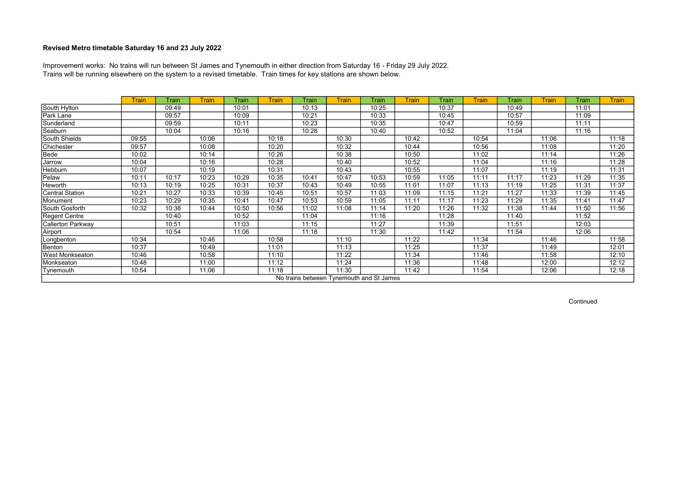Trains will be running elsewhere on the system to a revised timetable. Train times for key stations are shown below. Improvement works: No trains will run between St James and Tynemouth in either direction from Saturday 16 - Friday 29 July 2022.

|                        | <b>Train</b> | Train | <b>Train</b> | Train | <b>Train</b> | Train                                    | <b>Train</b> | Train | <b>Train</b> | Train | <b>Train</b> | Train | <b>Train</b> | Train | <b>Train</b> |
|------------------------|--------------|-------|--------------|-------|--------------|------------------------------------------|--------------|-------|--------------|-------|--------------|-------|--------------|-------|--------------|
| South Hylton           |              | 09:49 |              | 10:01 |              | 10:13                                    |              | 10:25 |              | 10:37 |              | 10:49 |              | 11:01 |              |
| Park Lane              |              | 09:57 |              | 10:09 |              | 10:21                                    |              | 10:33 |              | 10:45 |              | 10:57 |              | 11:09 |              |
| Sunderland             |              | 09:59 |              | 10:11 |              | 10:23                                    |              | 10:35 |              | 10:47 |              | 10:59 |              | 11:11 |              |
| Seaburn                |              | 10:04 |              | 10:16 |              | 10:28                                    |              | 10:40 |              | 10:52 |              | 11:04 |              | 11:16 |              |
| South Shields          | 09:55        |       | 10:06        |       | 10:18        |                                          | 10:30        |       | 10:42        |       | 10:54        |       | 11:06        |       | 11:18        |
| Chichester             | 09:57        |       | 10:08        |       | 10:20        |                                          | 10:32        |       | 10:44        |       | 10:56        |       | 11:08        |       | 11:20        |
| Bede                   | 10:02        |       | 10:14        |       | 10:26        |                                          | 10:38        |       | 10:50        |       | 11:02        |       | 11:14        |       | 11:26        |
| Jarrow                 | 10:04        |       | 10:16        |       | 10:28        |                                          | 10:40        |       | 10:52        |       | 11:04        |       | 11:16        |       | 11:28        |
| Hebburn                | 10:07        |       | 10:19        |       | 10:31        |                                          | 10:43        |       | 10:55        |       | 11:07        |       | 11:19        |       | 11:31        |
| Pelaw                  | 10:11        | 10:17 | 10:23        | 10:29 | 10:35        | 10:41                                    | 10:47        | 10:53 | 10:59        | 11:05 | 11:11        | 11:17 | 11:23        | 11:29 | 11:35        |
| Heworth                | 10:13        | 10:19 | 10:25        | 10:31 | 10:37        | 10:43                                    | 10:49        | 10:55 | 11:01        | 11:07 | 11:13        | 11:19 | 11:25        | 11:31 | 11:37        |
| Central Station        | 10:21        | 10:27 | 10:33        | 10:39 | 10:45        | 10:51                                    | 10:57        | 11:03 | 11:09        | 11:15 | 11:21        | 11:27 | 11:33        | 11:39 | 11:45        |
| Monument               | 10:23        | 10:29 | 10:35        | 10:41 | 10:47        | 10:53                                    | 10:59        | 11:05 | 11:11        | 11:17 | 11:23        | 11:29 | 11:35        | 11:41 | 11:47        |
| South Gosforth         | 10:32        | 10:38 | 10:44        | 10:50 | 10:56        | 11:02                                    | 11:08        | 11:14 | 11:20        | 11:26 | 11:32        | 11:38 | 11:44        | 11:50 | 11:56        |
| Regent Centre          |              | 10:40 |              | 10:52 |              | 11:04                                    |              | 11:16 |              | 11:28 |              | 11:40 |              | 11:52 |              |
| Callerton Parkway      |              | 10:51 |              | 11:03 |              | 11:15                                    |              | 11:27 |              | 11:39 |              | 11:51 |              | 12:03 |              |
| Airport                |              | 10:54 |              | 11:06 |              | 11:18                                    |              | 11:30 |              | 11:42 |              | 11:54 |              | 12:06 |              |
| Longbenton             | 10:34        |       | 10:46        |       | 10:58        |                                          | 11:10        |       | 11:22        |       | 11:34        |       | 11:46        |       | 11:58        |
| Benton                 | 10:37        |       | 10:49        |       | 11:01        |                                          | 11:13        |       | 11:25        |       | 11:37        |       | 11:49        |       | 12:01        |
| <b>West Monkseaton</b> | 10:46        |       | 10:58        |       | 11:10        |                                          | 11:22        |       | 11:34        |       | 11:46        |       | 11:58        |       | 12:10        |
| Monkseaton             | 10:48        |       | 11:00        |       | 11:12        |                                          | 11:24        |       | 11:36        |       | 11:48        |       | 12:00        |       | 12:12        |
| Tynemouth              | 10:54        |       | 11:06        |       | 11:18        |                                          | 11:30        |       | 11:42        |       | 11:54        |       | 12:06        |       | 12:18        |
|                        |              |       |              |       |              | No trains between Tynemouth and St James |              |       |              |       |              |       |              |       |              |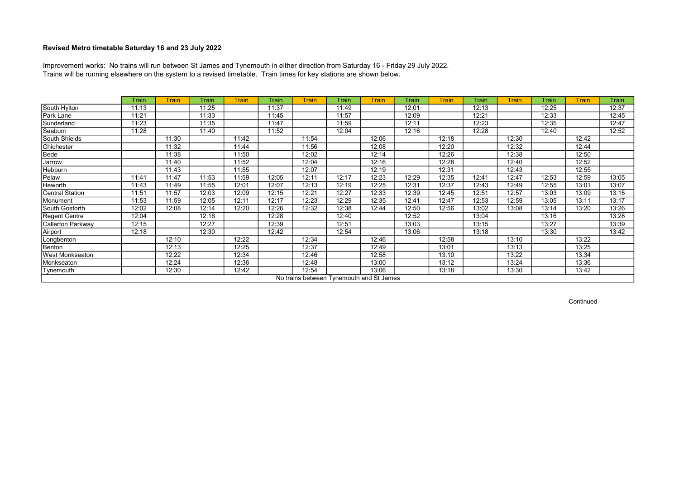Trains will be running elsewhere on the system to a revised timetable. Train times for key stations are shown below. Improvement works: No trains will run between St James and Tynemouth in either direction from Saturday 16 - Friday 29 July 2022.

|                        | Train | <b>Train</b> | Train | <b>Train</b> | Train | <b>Train</b> | Train | <b>Train</b>                             | Train | <b>Train</b> | Train | <b>Train</b> | Train | <b>Train</b> | <b>Train</b> |
|------------------------|-------|--------------|-------|--------------|-------|--------------|-------|------------------------------------------|-------|--------------|-------|--------------|-------|--------------|--------------|
| South Hylton           | 11:13 |              | 11:25 |              | 11:37 |              | 11:49 |                                          | 12:01 |              | 12:13 |              | 12:25 |              | 12:37        |
| Park Lane              | 11:21 |              | 11:33 |              | 11:45 |              | 11:57 |                                          | 12:09 |              | 12:21 |              | 12:33 |              | 12:45        |
| Sunderland             | 11:23 |              | 11:35 |              | 11:47 |              | 11:59 |                                          | 12:11 |              | 12:23 |              | 12:35 |              | 12:47        |
| Seaburn                | 11:28 |              | 11:40 |              | 11:52 |              | 12:04 |                                          | 12:16 |              | 12:28 |              | 12:40 |              | 12:52        |
| South Shields          |       | 11:30        |       | 11:42        |       | 11:54        |       | 12:06                                    |       | 12:18        |       | 12:30        |       | 12:42        |              |
| Chichester             |       | 11:32        |       | 11:44        |       | 11:56        |       | 12:08                                    |       | 12:20        |       | 12:32        |       | 12:44        |              |
| Bede                   |       | 11:38        |       | 11:50        |       | 12:02        |       | 12:14                                    |       | 12:26        |       | 12:38        |       | 12:50        |              |
| Jarrow                 |       | 11:40        |       | 11:52        |       | 12:04        |       | 12:16                                    |       | 12:28        |       | 12:40        |       | 12:52        |              |
| Hebburn                |       | 11:43        |       | 11:55        |       | 12:07        |       | 12:19                                    |       | 12:31        |       | 12:43        |       | 12:55        |              |
| Pelaw                  | 11:41 | 11:47        | 11:53 | 11:59        | 12:05 | 12:11        | 12:17 | 12:23                                    | 12:29 | 12:35        | 12:41 | 12:47        | 12:53 | 12:59        | 13:05        |
| Heworth                | 11:43 | 11:49        | 11:55 | 12:01        | 12:07 | 12:13        | 12:19 | 12:25                                    | 12:31 | 12:37        | 12:43 | 12:49        | 12:55 | 13:01        | 13:07        |
| Central Station        | 11:51 | 11:57        | 12:03 | 12:09        | 12:15 | 12:21        | 12:27 | 12:33                                    | 12:39 | 12:45        | 12:51 | 12:57        | 13:03 | 13:09        | 13:15        |
| Monument               | 11:53 | 11:59        | 12:05 | 12:11        | 12:17 | 12:23        | 12:29 | 12:35                                    | 12:41 | 12:47        | 12:53 | 12:59        | 13:05 | 13:11        | 13:17        |
| South Gosforth         | 12:02 | 12:08        | 12:14 | 12:20        | 12:26 | 12:32        | 12:38 | 12:44                                    | 12:50 | 12:56        | 13:02 | 13:08        | 13:14 | 13:20        | 13:26        |
| Regent Centre          | 12:04 |              | 12:16 |              | 12:28 |              | 12:40 |                                          | 12:52 |              | 13:04 |              | 13:16 |              | 13:28        |
| Callerton Parkway      | 12:15 |              | 12:27 |              | 12:39 |              | 12:51 |                                          | 13:03 |              | 13:15 |              | 13:27 |              | 13:39        |
| Airport                | 12:18 |              | 12:30 |              | 12:42 |              | 12:54 |                                          | 13:06 |              | 13:18 |              | 13:30 |              | 13:42        |
| Longbenton             |       | 12:10        |       | 12:22        |       | 12:34        |       | 12:46                                    |       | 12:58        |       | 13:10        |       | 13:22        |              |
| Benton                 |       | 12:13        |       | 12:25        |       | 12:37        |       | 12:49                                    |       | 13:01        |       | 13:13        |       | 13:25        |              |
| <b>West Monkseaton</b> |       | 12:22        |       | 12:34        |       | 12:46        |       | 12:58                                    |       | 13:10        |       | 13:22        |       | 13:34        |              |
| Monkseaton             |       | 12:24        |       | 12:36        |       | 12:48        |       | 13:00                                    |       | 13:12        |       | 13:24        |       | 13:36        |              |
| Tynemouth              |       | 12:30        |       | 12:42        |       | 12:54        |       | 13:06                                    |       | 13:18        |       | 13:30        |       | 13:42        |              |
|                        |       |              |       |              |       |              |       | No trains between Tynemouth and St James |       |              |       |              |       |              |              |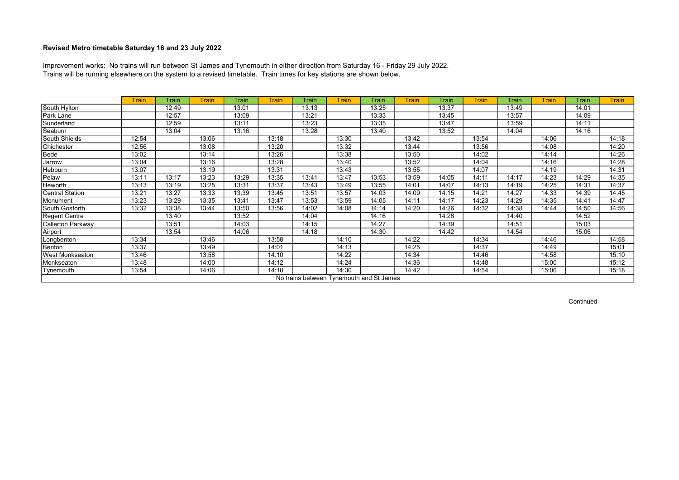Trains will be running elsewhere on the system to a revised timetable. Train times for key stations are shown below. Improvement works: No trains will run between St James and Tynemouth in either direction from Saturday 16 - Friday 29 July 2022.

|                   | <b>Train</b> | Train | <b>Train</b> | Train | <b>Train</b> | Train | <b>Train</b>                             | Train | <b>Train</b> | Train | <b>Train</b> | Train | <b>Train</b> | Train | <b>Train</b> |
|-------------------|--------------|-------|--------------|-------|--------------|-------|------------------------------------------|-------|--------------|-------|--------------|-------|--------------|-------|--------------|
| South Hylton      |              | 12:49 |              | 13:01 |              | 13:13 |                                          | 13:25 |              | 13:37 |              | 13:49 |              | 14:01 |              |
| Park Lane         |              | 12:57 |              | 13:09 |              | 13:21 |                                          | 13:33 |              | 13:45 |              | 13:57 |              | 14:09 |              |
| Sunderland        |              | 12:59 |              | 13:11 |              | 13:23 |                                          | 13:35 |              | 13:47 |              | 13:59 |              | 14:11 |              |
| Seaburn           |              | 13:04 |              | 13:16 |              | 13:28 |                                          | 13:40 |              | 13:52 |              | 14:04 |              | 14:16 |              |
| South Shields     | 12:54        |       | 13:06        |       | 13:18        |       | 13:30                                    |       | 13:42        |       | 13:54        |       | 14:06        |       | 14:18        |
| Chichester        | 12:56        |       | 13:08        |       | 13:20        |       | 13:32                                    |       | 13:44        |       | 13:56        |       | 14:08        |       | 14:20        |
| Bede              | 13:02        |       | 13:14        |       | 13:26        |       | 13:38                                    |       | 13:50        |       | 14:02        |       | 14:14        |       | 14:26        |
| Jarrow            | 13:04        |       | 13:16        |       | 13:28        |       | 13:40                                    |       | 13:52        |       | 14:04        |       | 14:16        |       | 14:28        |
| <b>Hebburn</b>    | 13:07        |       | 13:19        |       | 13:31        |       | 13:43                                    |       | 13:55        |       | 14:07        |       | 14:19        |       | 14:31        |
| Pelaw             | 13:11        | 13:17 | 13:23        | 13:29 | 13:35        | 13:41 | 13:47                                    | 13:53 | 13:59        | 14:05 | 14:11        | 14:17 | 14:23        | 14:29 | 14:35        |
| Heworth           | 13:13        | 13:19 | 13:25        | 13:31 | 13:37        | 13:43 | 13:49                                    | 13:55 | 14:01        | 14:07 | 14:13        | 14:19 | 14:25        | 14:31 | 14:37        |
| Central Station   | 13:21        | 13:27 | 13:33        | 13:39 | 13:45        | 13:51 | 13:57                                    | 14:03 | 14:09        | 14:15 | 14:21        | 14:27 | 14:33        | 14:39 | 14:45        |
| Monument          | 13:23        | 13:29 | 13:35        | 13:41 | 13:47        | 13:53 | 13:59                                    | 14:05 | 14:11        | 14:17 | 14:23        | 14:29 | 14:35        | 14:41 | 14:47        |
| South Gosforth    | 13:32        | 13:38 | 13:44        | 13:50 | 13:56        | 14:02 | 14:08                                    | 14:14 | 14:20        | 14:26 | 14:32        | 14:38 | 14:44        | 14:50 | 14:56        |
| Regent Centre     |              | 13:40 |              | 13:52 |              | 14:04 |                                          | 14:16 |              | 14:28 |              | 14:40 |              | 14:52 |              |
| Callerton Parkway |              | 13:51 |              | 14:03 |              | 14:15 |                                          | 14:27 |              | 14:39 |              | 14:51 |              | 15:03 |              |
| Airport           |              | 13:54 |              | 14:06 |              | 14:18 |                                          | 14:30 |              | 14:42 |              | 14:54 |              | 15:06 |              |
| Longbenton        | 13:34        |       | 13:46        |       | 13:58        |       | 14:10                                    |       | 14:22        |       | 14:34        |       | 14:46        |       | 14:58        |
| Benton            | 13:37        |       | 13:49        |       | 14:01        |       | 14:13                                    |       | 14:25        |       | 14:37        |       | 14:49        |       | 15:01        |
| West Monkseaton   | 13:46        |       | 13:58        |       | 14:10        |       | 14:22                                    |       | 14:34        |       | 14:46        |       | 14:58        |       | 15:10        |
| Monkseaton        | 13:48        |       | 14:00        |       | 14:12        |       | 14:24                                    |       | 14:36        |       | 14:48        |       | 15:00        |       | 15:12        |
| Tynemouth         | 13:54        |       | 14:06        |       | 14:18        |       | 14:30                                    |       | 14:42        |       | 14:54        |       | 15:06        |       | 15:18        |
|                   |              |       |              |       |              |       | No trains between Tynemouth and St James |       |              |       |              |       |              |       |              |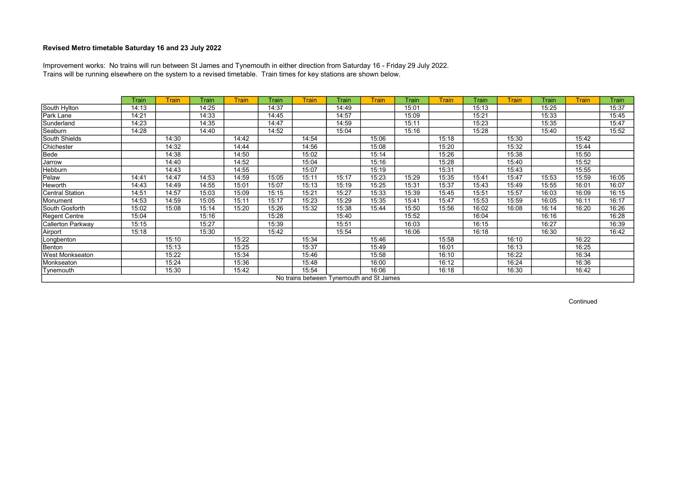Trains will be running elsewhere on the system to a revised timetable. Train times for key stations are shown below. Improvement works: No trains will run between St James and Tynemouth in either direction from Saturday 16 - Friday 29 July 2022.

|                          | Train | <b>Train</b> | Train | <b>Train</b> | Train | <b>Train</b>                             | Train | <b>Train</b> | Train | <b>Train</b> | Train | <b>Train</b> | Train | <b>Train</b> | Train |
|--------------------------|-------|--------------|-------|--------------|-------|------------------------------------------|-------|--------------|-------|--------------|-------|--------------|-------|--------------|-------|
| South Hylton             | 14:13 |              | 14:25 |              | 14:37 |                                          | 14:49 |              | 15:01 |              | 15:13 |              | 15:25 |              | 15:37 |
| Park Lane                | 14:21 |              | 14:33 |              | 14:45 |                                          | 14:57 |              | 15:09 |              | 15:21 |              | 15:33 |              | 15:45 |
| Sunderland               | 14:23 |              | 14:35 |              | 14:47 |                                          | 14:59 |              | 15:11 |              | 15:23 |              | 15:35 |              | 15:47 |
| Seaburn                  | 14:28 |              | 14:40 |              | 14:52 |                                          | 15:04 |              | 15:16 |              | 15:28 |              | 15:40 |              | 15:52 |
| South Shields            |       | 14:30        |       | 14:42        |       | 14:54                                    |       | 15:06        |       | 15:18        |       | 15:30        |       | 15:42        |       |
| Chichester               |       | 14:32        |       | 14:44        |       | 14:56                                    |       | 15:08        |       | 15:20        |       | 15:32        |       | 15:44        |       |
| Bede                     |       | 14:38        |       | 14:50        |       | 15:02                                    |       | 15:14        |       | 15:26        |       | 15:38        |       | 15:50        |       |
| Jarrow                   |       | 14:40        |       | 14:52        |       | 15:04                                    |       | 15:16        |       | 15:28        |       | 15:40        |       | 15:52        |       |
| Hebburn                  |       | 14:43        |       | 14:55        |       | 15:07                                    |       | 15:19        |       | 15:31        |       | 15:43        |       | 15:55        |       |
| Pelaw                    | 14:41 | 14:47        | 14:53 | 14:59        | 15:05 | 15:11                                    | 15:17 | 15:23        | 15:29 | 15:35        | 15:41 | 15:47        | 15:53 | 15:59        | 16:05 |
| Heworth                  | 14:43 | 14:49        | 14:55 | 15:01        | 15:07 | 15:13                                    | 15:19 | 15:25        | 15:31 | 15:37        | 15:43 | 15:49        | 15:55 | 16:01        | 16:07 |
| <b>Central Station</b>   | 14:51 | 14:57        | 15:03 | 15:09        | 15:15 | 15:21                                    | 15:27 | 15:33        | 15:39 | 15:45        | 15:51 | 15:57        | 16:03 | 16:09        | 16:15 |
| Monument                 | 14:53 | 14:59        | 15:05 | 15:11        | 15:17 | 15:23                                    | 15:29 | 15:35        | 15:41 | 15:47        | 15:53 | 15:59        | 16:05 | 16:11        | 16:17 |
| South Gosforth           | 15:02 | 15:08        | 15:14 | 15:20        | 15:26 | 15:32                                    | 15:38 | 15:44        | 15:50 | 15:56        | 16:02 | 16:08        | 16:14 | 16:20        | 16:26 |
| Regent Centre            | 15:04 |              | 15:16 |              | 15:28 |                                          | 15:40 |              | 15:52 |              | 16:04 |              | 16:16 |              | 16:28 |
| <b>Callerton Parkway</b> | 15:15 |              | 15:27 |              | 15:39 |                                          | 15:51 |              | 16:03 |              | 16:15 |              | 16:27 |              | 16:39 |
| Airport                  | 15:18 |              | 15:30 |              | 15:42 |                                          | 15:54 |              | 16:06 |              | 16:18 |              | 16:30 |              | 16:42 |
| Longbenton               |       | 15:10        |       | 15:22        |       | 15:34                                    |       | 15:46        |       | 15:58        |       | 16:10        |       | 16:22        |       |
| Benton                   |       | 15:13        |       | 15:25        |       | 15:37                                    |       | 15:49        |       | 16:01        |       | 16:13        |       | 16:25        |       |
| <b>West Monkseaton</b>   |       | 15:22        |       | 15:34        |       | 15:46                                    |       | 15:58        |       | 16:10        |       | 16:22        |       | 16:34        |       |
| Monkseaton               |       | 15:24        |       | 15:36        |       | 15:48                                    |       | 16:00        |       | 16:12        |       | 16:24        |       | 16:36        |       |
| Tynemouth                |       | 15:30        |       | 15:42        |       | 15:54                                    |       | 16:06        |       | 16:18        |       | 16:30        |       | 16:42        |       |
|                          |       |              |       |              |       | No trains between Tynemouth and St James |       |              |       |              |       |              |       |              |       |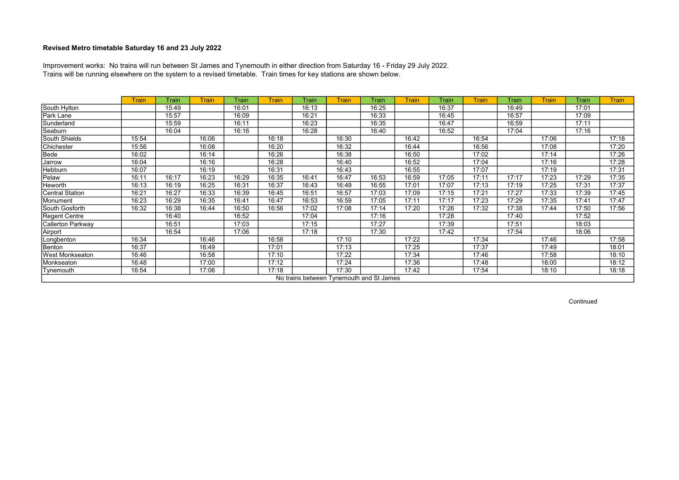Trains will be running elsewhere on the system to a revised timetable. Train times for key stations are shown below. Improvement works: No trains will run between St James and Tynemouth in either direction from Saturday 16 - Friday 29 July 2022.

|                        | <b>Train</b> | Train | <b>Train</b> | Train | <b>Train</b> | Train | <b>Train</b>                             | Train | <b>Train</b> | Train | <b>Train</b> | Train | <b>Train</b> | Train | <b>Train</b> |
|------------------------|--------------|-------|--------------|-------|--------------|-------|------------------------------------------|-------|--------------|-------|--------------|-------|--------------|-------|--------------|
| South Hylton           |              | 15:49 |              | 16:01 |              | 16:13 |                                          | 16:25 |              | 16:37 |              | 16:49 |              | 17:01 |              |
| Park Lane              |              | 15:57 |              | 16:09 |              | 16:21 |                                          | 16:33 |              | 16:45 |              | 16:57 |              | 17:09 |              |
| Sunderland             |              | 15:59 |              | 16:11 |              | 16:23 |                                          | 16:35 |              | 16:47 |              | 16:59 |              | 17:11 |              |
| Seaburn                |              | 16:04 |              | 16:16 |              | 16:28 |                                          | 16:40 |              | 16:52 |              | 17:04 |              | 17:16 |              |
| South Shields          | 15:54        |       | 16:06        |       | 16:18        |       | 16:30                                    |       | 16:42        |       | 16:54        |       | 17:06        |       | 17:18        |
| Chichester             | 15:56        |       | 16:08        |       | 16:20        |       | 16:32                                    |       | 16:44        |       | 16:56        |       | 17:08        |       | 17:20        |
| Bede                   | 16:02        |       | 16:14        |       | 16:26        |       | 16:38                                    |       | 16:50        |       | 17:02        |       | 17:14        |       | 17:26        |
| Jarrow                 | 16:04        |       | 16:16        |       | 16:28        |       | 16:40                                    |       | 16:52        |       | 17:04        |       | 17:16        |       | 17:28        |
| Hebburn                | 16:07        |       | 16:19        |       | 16:31        |       | 16:43                                    |       | 16:55        |       | 17:07        |       | 17:19        |       | 17:31        |
| Pelaw                  | 16:11        | 16:17 | 16:23        | 16:29 | 16:35        | 16:41 | 16:47                                    | 16:53 | 16:59        | 17:05 | 17:11        | 17:17 | 17:23        | 17:29 | 17:35        |
| Heworth                | 16:13        | 16:19 | 16:25        | 16:31 | 16:37        | 16:43 | 16:49                                    | 16:55 | 17:01        | 17:07 | 17:13        | 17:19 | 17:25        | 17:31 | 17:37        |
| Central Station        | 16:21        | 16:27 | 16:33        | 16:39 | 16:45        | 16:51 | 16:57                                    | 17:03 | 17:09        | 17:15 | 17:21        | 17:27 | 17:33        | 17:39 | 17:45        |
| Monument               | 16:23        | 16:29 | 16:35        | 16:41 | 16:47        | 16:53 | 16:59                                    | 17:05 | 17:11        | 17:17 | 17:23        | 17:29 | 17:35        | 17:41 | 17:47        |
| South Gosforth         | 16:32        | 16:38 | 16:44        | 16:50 | 16:56        | 17:02 | 17:08                                    | 17:14 | 17:20        | 17:26 | 17:32        | 17:38 | 17:44        | 17:50 | 17:56        |
| Regent Centre          |              | 16:40 |              | 16:52 |              | 17:04 |                                          | 17:16 |              | 17:28 |              | 17:40 |              | 17:52 |              |
| Callerton Parkway      |              | 16:51 |              | 17:03 |              | 17:15 |                                          | 17:27 |              | 17:39 |              | 17:51 |              | 18:03 |              |
| Airport                |              | 16:54 |              | 17:06 |              | 17:18 |                                          | 17:30 |              | 17:42 |              | 17:54 |              | 18:06 |              |
| Longbenton             | 16:34        |       | 16:46        |       | 16:58        |       | 17:10                                    |       | 17:22        |       | 17:34        |       | 17:46        |       | 17:58        |
| Benton                 | 16:37        |       | 16:49        |       | 17:01        |       | 17:13                                    |       | 17:25        |       | 17:37        |       | 17:49        |       | 18:01        |
| <b>West Monkseaton</b> | 16:46        |       | 16:58        |       | 17:10        |       | 17:22                                    |       | 17:34        |       | 17:46        |       | 17:58        |       | 18:10        |
| Monkseaton             | 16:48        |       | 17:00        |       | 17:12        |       | 17:24                                    |       | 17:36        |       | 17:48        |       | 18:00        |       | 18:12        |
| Tynemouth              | 16:54        |       | 17:06        |       | 17:18        |       | 17:30                                    |       | 17:42        |       | 17:54        |       | 18:10        |       | 18:18        |
|                        |              |       |              |       |              |       | No trains between Tynemouth and St James |       |              |       |              |       |              |       |              |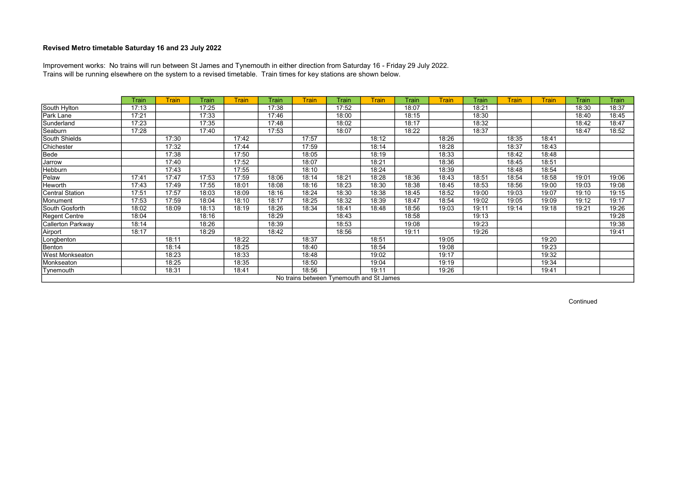Trains will be running elsewhere on the system to a revised timetable. Train times for key stations are shown below. Improvement works: No trains will run between St James and Tynemouth in either direction from Saturday 16 - Friday 29 July 2022.

|                          | Train | <b>Train</b> | Train | <b>Train</b> | Train | <b>Train</b> | Train                                    | <b>Train</b> | Train | <b>Train</b> | Train | <b>Train</b> | <b>Train</b> | Train | Train |
|--------------------------|-------|--------------|-------|--------------|-------|--------------|------------------------------------------|--------------|-------|--------------|-------|--------------|--------------|-------|-------|
| South Hylton             | 17:13 |              | 17:25 |              | 17:38 |              | 17:52                                    |              | 18:07 |              | 18:21 |              |              | 18:30 | 18:37 |
| Park Lane                | 17:21 |              | 17:33 |              | 17:46 |              | 18:00                                    |              | 18:15 |              | 18:30 |              |              | 18:40 | 18:45 |
| Sunderland               | 17:23 |              | 17:35 |              | 17:48 |              | 18:02                                    |              | 18:17 |              | 18:32 |              |              | 18:42 | 18:47 |
| Seaburn                  | 17:28 |              | 17:40 |              | 17:53 |              | 18:07                                    |              | 18:22 |              | 18:37 |              |              | 18:47 | 18:52 |
| South Shields            |       | 17:30        |       | 17:42        |       | 17:57        |                                          | 18:12        |       | 18:26        |       | 18:35        | 18:41        |       |       |
| Chichester               |       | 17:32        |       | 17:44        |       | 17:59        |                                          | 18:14        |       | 18:28        |       | 18:37        | 18:43        |       |       |
| Bede                     |       | 17:38        |       | 17:50        |       | 18:05        |                                          | 18:19        |       | 18:33        |       | 18:42        | 18:48        |       |       |
| Jarrow                   |       | 17:40        |       | 17:52        |       | 18:07        |                                          | 18:21        |       | 18:36        |       | 18:45        | 18:51        |       |       |
| Hebburn                  |       | 17:43        |       | 17:55        |       | 18:10        |                                          | 18:24        |       | 18:39        |       | 18:48        | 18:54        |       |       |
| Pelaw                    | 17:41 | 17:47        | 17:53 | 17:59        | 18:06 | 18:14        | 18:21                                    | 18:28        | 18:36 | 18:43        | 18:51 | 18:54        | 18:58        | 19:01 | 19:06 |
| Heworth                  | 17:43 | 17:49        | 17:55 | 18:01        | 18:08 | 18:16        | 18:23                                    | 18:30        | 18:38 | 18:45        | 18:53 | 18:56        | 19:00        | 19:03 | 19:08 |
| <b>Central Station</b>   | 17:51 | 17:57        | 18:03 | 18:09        | 18:16 | 18:24        | 18:30                                    | 18:38        | 18:45 | 18:52        | 19:00 | 19:03        | 19:07        | 19:10 | 19:15 |
| Monument                 | 17:53 | 17:59        | 18:04 | 18:10        | 18:17 | 18:25        | 18:32                                    | 18:39        | 18:47 | 18:54        | 19:02 | 19:05        | 19:09        | 19:12 | 19:17 |
| South Gosforth           | 18:02 | 18:09        | 18:13 | 18:19        | 18:26 | 18:34        | 18:41                                    | 18:48        | 18:56 | 19:03        | 19:11 | 19:14        | 19:18        | 19:21 | 19:26 |
| Regent Centre            | 18:04 |              | 18:16 |              | 18:29 |              | 18:43                                    |              | 18:58 |              | 19:13 |              |              |       | 19:28 |
| <b>Callerton Parkway</b> | 18:14 |              | 18:26 |              | 18:39 |              | 18:53                                    |              | 19:08 |              | 19:23 |              |              |       | 19:38 |
| Airport                  | 18:17 |              | 18:29 |              | 18:42 |              | 18:56                                    |              | 19:11 |              | 19:26 |              |              |       | 19:41 |
| Longbenton               |       | 18:11        |       | 18:22        |       | 18:37        |                                          | 18:51        |       | 19:05        |       |              | 19:20        |       |       |
| Benton                   |       | 18:14        |       | 18:25        |       | 18:40        |                                          | 18:54        |       | 19:08        |       |              | 19:23        |       |       |
| <b>West Monkseaton</b>   |       | 18:23        |       | 18:33        |       | 18:48        |                                          | 19:02        |       | 19:17        |       |              | 19:32        |       |       |
| Monkseaton               |       | 18:25        |       | 18:35        |       | 18:50        |                                          | 19:04        |       | 19:19        |       |              | 19:34        |       |       |
| Tynemouth                |       | 18:31        |       | 18:41        |       | 18:56        |                                          | 19:11        |       | 19:26        |       |              | 19:41        |       |       |
|                          |       |              |       |              |       |              | No trains between Tynemouth and St James |              |       |              |       |              |              |       |       |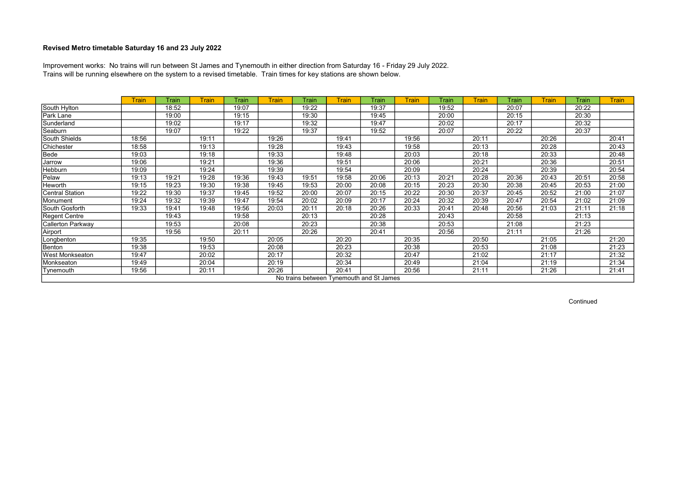Trains will be running elsewhere on the system to a revised timetable. Train times for key stations are shown below. Improvement works: No trains will run between St James and Tynemouth in either direction from Saturday 16 - Friday 29 July 2022.

|                   | <b>Train</b> | Train | <b>Train</b> | Train | <b>Train</b> | Train | <b>Train</b> | Train                                    | <b>Train</b> | Train | <b>Train</b> | Train | <b>Train</b> | Train | <b>Train</b> |
|-------------------|--------------|-------|--------------|-------|--------------|-------|--------------|------------------------------------------|--------------|-------|--------------|-------|--------------|-------|--------------|
| South Hylton      |              | 18:52 |              | 19:07 |              | 19:22 |              | 19:37                                    |              | 19:52 |              | 20:07 |              | 20:22 |              |
| Park Lane         |              | 19:00 |              | 19:15 |              | 19:30 |              | 19:45                                    |              | 20:00 |              | 20:15 |              | 20:30 |              |
| Sunderland        |              | 19:02 |              | 19:17 |              | 19:32 |              | 19:47                                    |              | 20:02 |              | 20:17 |              | 20:32 |              |
| Seaburn           |              | 19:07 |              | 19:22 |              | 19:37 |              | 19:52                                    |              | 20:07 |              | 20:22 |              | 20:37 |              |
| South Shields     | 18:56        |       | 19:11        |       | 19:26        |       | 19:41        |                                          | 19:56        |       | 20:11        |       | 20:26        |       | 20:41        |
| Chichester        | 18:58        |       | 19:13        |       | 19:28        |       | 19:43        |                                          | 19:58        |       | 20:13        |       | 20:28        |       | 20:43        |
| Bede              | 19:03        |       | 19:18        |       | 19:33        |       | 19:48        |                                          | 20:03        |       | 20:18        |       | 20:33        |       | 20:48        |
| Jarrow            | 19:06        |       | 19:21        |       | 19:36        |       | 19:51        |                                          | 20:06        |       | 20:21        |       | 20:36        |       | 20:51        |
| Hebburn           | 19:09        |       | 19:24        |       | 19:39        |       | 19:54        |                                          | 20:09        |       | 20:24        |       | 20:39        |       | 20:54        |
| Pelaw             | 19:13        | 19:21 | 19:28        | 19:36 | 19:43        | 19:51 | 19:58        | 20:06                                    | 20:13        | 20:21 | 20:28        | 20:36 | 20:43        | 20:51 | 20:58        |
| Heworth           | 19:15        | 19:23 | 19:30        | 19:38 | 19:45        | 19:53 | 20:00        | 20:08                                    | 20:15        | 20:23 | 20:30        | 20:38 | 20:45        | 20:53 | 21:00        |
| Central Station   | 19:22        | 19:30 | 19:37        | 19:45 | 19:52        | 20:00 | 20:07        | 20:15                                    | 20:22        | 20:30 | 20:37        | 20:45 | 20:52        | 21:00 | 21:07        |
| Monument          | 19:24        | 19:32 | 19:39        | 19:47 | 19:54        | 20:02 | 20:09        | 20:17                                    | 20:24        | 20:32 | 20:39        | 20:47 | 20:54        | 21:02 | 21:09        |
| South Gosforth    | 19:33        | 19:41 | 19:48        | 19:56 | 20:03        | 20:11 | 20:18        | 20:26                                    | 20:33        | 20:41 | 20:48        | 20:56 | 21:03        | 21:11 | 21:18        |
| Regent Centre     |              | 19:43 |              | 19:58 |              | 20:13 |              | 20:28                                    |              | 20:43 |              | 20:58 |              | 21:13 |              |
| Callerton Parkway |              | 19:53 |              | 20:08 |              | 20:23 |              | 20:38                                    |              | 20:53 |              | 21:08 |              | 21:23 |              |
| Airport           |              | 19:56 |              | 20:11 |              | 20:26 |              | 20:41                                    |              | 20:56 |              | 21:11 |              | 21:26 |              |
| Longbenton        | 19:35        |       | 19:50        |       | 20:05        |       | 20:20        |                                          | 20:35        |       | 20:50        |       | 21:05        |       | 21:20        |
| Benton            | 19:38        |       | 19:53        |       | 20:08        |       | 20:23        |                                          | 20:38        |       | 20:53        |       | 21:08        |       | 21:23        |
| West Monkseaton   | 19:47        |       | 20:02        |       | 20:17        |       | 20:32        |                                          | 20:47        |       | 21:02        |       | 21:17        |       | 21:32        |
| Monkseaton        | 19:49        |       | 20:04        |       | 20:19        |       | 20:34        |                                          | 20:49        |       | 21:04        |       | 21:19        |       | 21:34        |
| Tynemouth         | 19:56        |       | 20:11        |       | 20:26        |       | 20:41        |                                          | 20:56        |       | 21:11        |       | 21:26        |       | 21:41        |
|                   |              |       |              |       |              |       |              | No trains between Tynemouth and St James |              |       |              |       |              |       |              |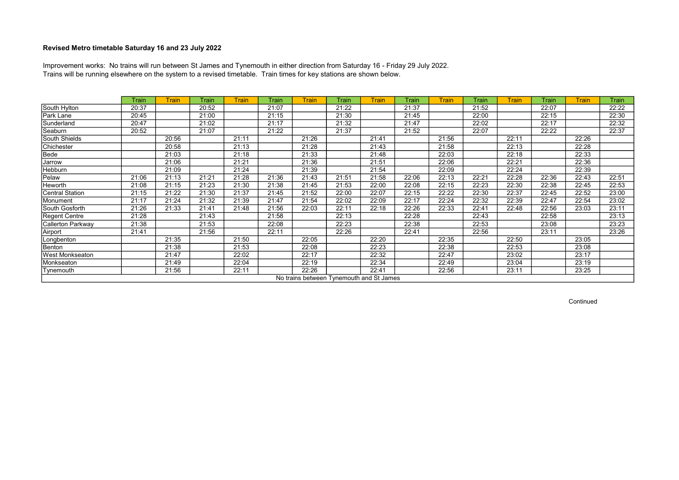Trains will be running elsewhere on the system to a revised timetable. Train times for key stations are shown below. Improvement works: No trains will run between St James and Tynemouth in either direction from Saturday 16 - Friday 29 July 2022.

|                          | Train | <b>Train</b> | Train | <b>Train</b> | Train | <b>Train</b> | Train                                    | Train | Train | <b>Train</b> | Train | <b>Train</b> | Train | <b>Train</b> | Train |
|--------------------------|-------|--------------|-------|--------------|-------|--------------|------------------------------------------|-------|-------|--------------|-------|--------------|-------|--------------|-------|
| South Hylton             | 20:37 |              | 20:52 |              | 21:07 |              | 21:22                                    |       | 21:37 |              | 21:52 |              | 22:07 |              | 22:22 |
| Park Lane                | 20:45 |              | 21:00 |              | 21:15 |              | 21:30                                    |       | 21:45 |              | 22:00 |              | 22:15 |              | 22:30 |
| Sunderland               | 20:47 |              | 21:02 |              | 21:17 |              | 21:32                                    |       | 21:47 |              | 22:02 |              | 22:17 |              | 22:32 |
| Seaburn                  | 20:52 |              | 21:07 |              | 21:22 |              | 21:37                                    |       | 21:52 |              | 22:07 |              | 22:22 |              | 22:37 |
| South Shields            |       | 20:56        |       | 21:11        |       | 21:26        |                                          | 21:41 |       | 21:56        |       | 22:11        |       | 22:26        |       |
| Chichester               |       | 20:58        |       | 21:13        |       | 21:28        |                                          | 21:43 |       | 21:58        |       | 22:13        |       | 22:28        |       |
| Bede                     |       | 21:03        |       | 21:18        |       | 21:33        |                                          | 21:48 |       | 22:03        |       | 22:18        |       | 22:33        |       |
| Jarrow                   |       | 21:06        |       | 21:21        |       | 21:36        |                                          | 21:51 |       | 22:06        |       | 22:21        |       | 22:36        |       |
| Hebburn                  |       | 21:09        |       | 21:24        |       | 21:39        |                                          | 21:54 |       | 22:09        |       | 22:24        |       | 22:39        |       |
| Pelaw                    | 21:06 | 21:13        | 21:21 | 21:28        | 21:36 | 21:43        | 21:51                                    | 21:58 | 22:06 | 22:13        | 22:21 | 22:28        | 22:36 | 22:43        | 22:51 |
| Heworth                  | 21:08 | 21:15        | 21:23 | 21:30        | 21:38 | 21:45        | 21:53                                    | 22:00 | 22:08 | 22:15        | 22:23 | 22:30        | 22:38 | 22:45        | 22:53 |
| <b>Central Station</b>   | 21:15 | 21:22        | 21:30 | 21:37        | 21:45 | 21:52        | 22:00                                    | 22:07 | 22:15 | 22:22        | 22:30 | 22:37        | 22:45 | 22:52        | 23:00 |
| Monument                 | 21:17 | 21:24        | 21:32 | 21:39        | 21:47 | 21:54        | 22:02                                    | 22:09 | 22:17 | 22:24        | 22:32 | 22:39        | 22:47 | 22:54        | 23:02 |
| South Gosforth           | 21:26 | 21:33        | 21:41 | 21:48        | 21:56 | 22:03        | 22:11                                    | 22:18 | 22:26 | 22:33        | 22:41 | 22:48        | 22:56 | 23:03        | 23:11 |
| <b>Regent Centre</b>     | 21:28 |              | 21:43 |              | 21:58 |              | 22:13                                    |       | 22:28 |              | 22:43 |              | 22:58 |              | 23:13 |
| <b>Callerton Parkway</b> | 21:38 |              | 21:53 |              | 22:08 |              | 22:23                                    |       | 22:38 |              | 22:53 |              | 23:08 |              | 23:23 |
| Airport                  | 21:41 |              | 21:56 |              | 22:11 |              | 22:26                                    |       | 22:41 |              | 22:56 |              | 23:11 |              | 23:26 |
| Longbenton               |       | 21:35        |       | 21:50        |       | 22:05        |                                          | 22:20 |       | 22:35        |       | 22:50        |       | 23:05        |       |
| Benton                   |       | 21:38        |       | 21:53        |       | 22:08        |                                          | 22:23 |       | 22:38        |       | 22:53        |       | 23:08        |       |
| <b>West Monkseaton</b>   |       | 21:47        |       | 22:02        |       | 22:17        |                                          | 22:32 |       | 22:47        |       | 23:02        |       | 23:17        |       |
| Monkseaton               |       | 21:49        |       | 22:04        |       | 22:19        |                                          | 22:34 |       | 22:49        |       | 23:04        |       | 23:19        |       |
| Tynemouth                |       | 21:56        |       | 22:11        |       | 22:26        |                                          | 22:41 |       | 22:56        |       | 23:11        |       | 23:25        |       |
|                          |       |              |       |              |       |              | No trains between Tynemouth and St James |       |       |              |       |              |       |              |       |